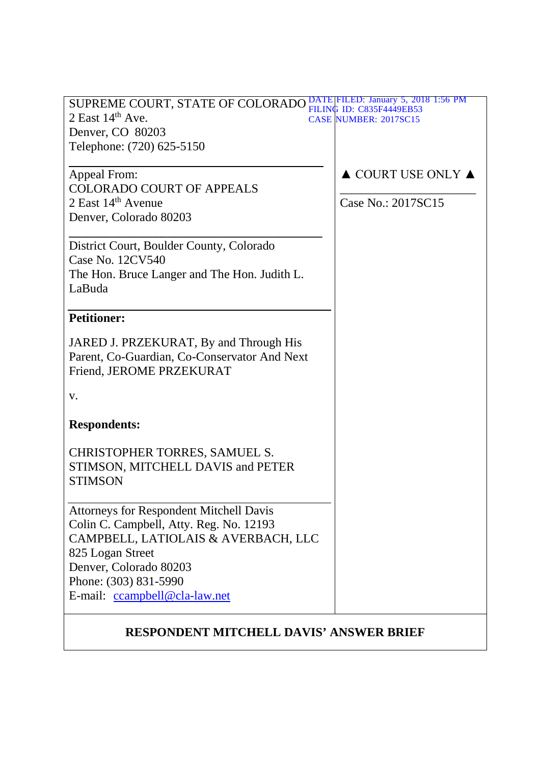| SUPREME COURT, STATE OF COLORADO PH DATE FILED: January 5, 2018 1:56 PM | FILING ID: C835F4449EB53               |  |
|-------------------------------------------------------------------------|----------------------------------------|--|
| 2 East $14th$ Ave.                                                      | <b>CASE NUMBER: 2017SC15</b>           |  |
| Denver, CO 80203                                                        |                                        |  |
| Telephone: (720) 625-5150                                               |                                        |  |
| Appeal From:                                                            | $\triangle$ COURT USE ONLY $\triangle$ |  |
| <b>COLORADO COURT OF APPEALS</b>                                        |                                        |  |
| 2 East $14th$ Avenue                                                    | Case No.: 2017SC15                     |  |
| Denver, Colorado 80203                                                  |                                        |  |
| District Court, Boulder County, Colorado                                |                                        |  |
| Case No. 12CV540                                                        |                                        |  |
| The Hon. Bruce Langer and The Hon. Judith L.                            |                                        |  |
| LaBuda                                                                  |                                        |  |
| <b>Petitioner:</b>                                                      |                                        |  |
| JARED J. PRZEKURAT, By and Through His                                  |                                        |  |
| Parent, Co-Guardian, Co-Conservator And Next                            |                                        |  |
| Friend, JEROME PRZEKURAT                                                |                                        |  |
| V.                                                                      |                                        |  |
| <b>Respondents:</b>                                                     |                                        |  |
| CHRISTOPHER TORRES, SAMUEL S.                                           |                                        |  |
| STIMSON, MITCHELL DAVIS and PETER                                       |                                        |  |
| <b>STIMSON</b>                                                          |                                        |  |
|                                                                         |                                        |  |
| <b>Attorneys for Respondent Mitchell Davis</b>                          |                                        |  |
| Colin C. Campbell, Atty. Reg. No. 12193                                 |                                        |  |
| CAMPBELL, LATIOLAIS & AVERBACH, LLC                                     |                                        |  |
| 825 Logan Street                                                        |                                        |  |
| Denver, Colorado 80203                                                  |                                        |  |
| Phone: (303) 831-5990                                                   |                                        |  |
| E-mail: ccampbell@cla-law.net                                           |                                        |  |
| <b>RESPONDENT MITCHELL DAVIS' ANSWER BRIEF</b>                          |                                        |  |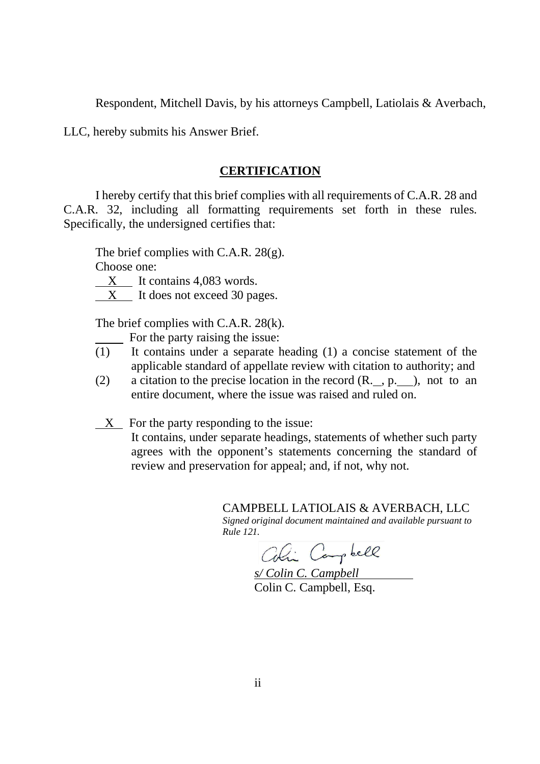Respondent, Mitchell Davis, by his attorneys Campbell, Latiolais & Averbach,

LLC, hereby submits his Answer Brief.

### **CERTIFICATION**

I hereby certify that this brief complies with all requirements of C.A.R. 28 and C.A.R. 32, including all formatting requirements set forth in these rules. Specifically, the undersigned certifies that:

The brief complies with C.A.R. 28(g). Choose one:

 $X$  It contains 4,083 words.

X It does not exceed 30 pages.

The brief complies with C.A.R. 28(k).

For the party raising the issue:

- (1) It contains under a separate heading (1) a concise statement of the applicable standard of appellate review with citation to authority; and
- (2) a citation to the precise location in the record  $(R, p, p)$ , not to an entire document, where the issue was raised and ruled on.
- X For the party responding to the issue:

It contains, under separate headings, statements of whether such party agrees with the opponent's statements concerning the standard of review and preservation for appeal; and, if not, why not.

CAMPBELL LATIOLAIS & AVERBACH, LLC

*Signed original document maintained and available pursuant to Rule 121.*

Coli Campbell

*s/ Colin C. Campbell* Colin C. Campbell, Esq.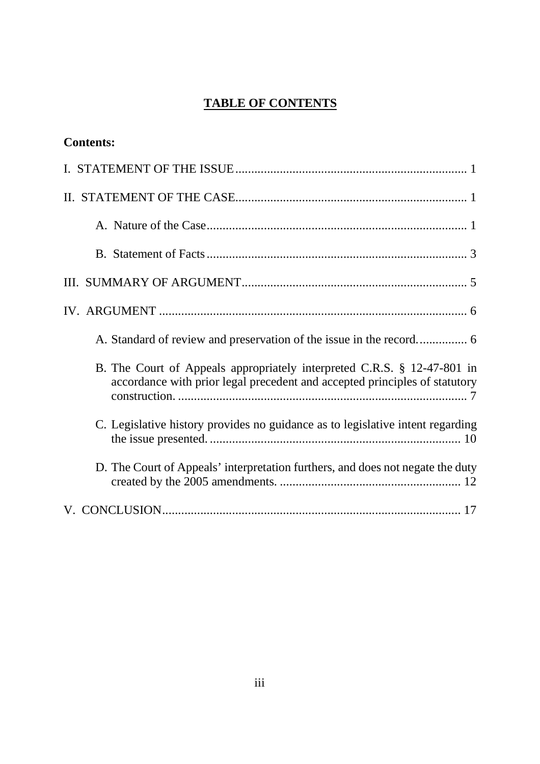# **TABLE OF CONTENTS**

| <b>Contents:</b>                                                                                                                                      |
|-------------------------------------------------------------------------------------------------------------------------------------------------------|
|                                                                                                                                                       |
|                                                                                                                                                       |
|                                                                                                                                                       |
|                                                                                                                                                       |
|                                                                                                                                                       |
|                                                                                                                                                       |
|                                                                                                                                                       |
| B. The Court of Appeals appropriately interpreted C.R.S. § 12-47-801 in<br>accordance with prior legal precedent and accepted principles of statutory |
| C. Legislative history provides no guidance as to legislative intent regarding                                                                        |
| D. The Court of Appeals' interpretation furthers, and does not negate the duty                                                                        |
|                                                                                                                                                       |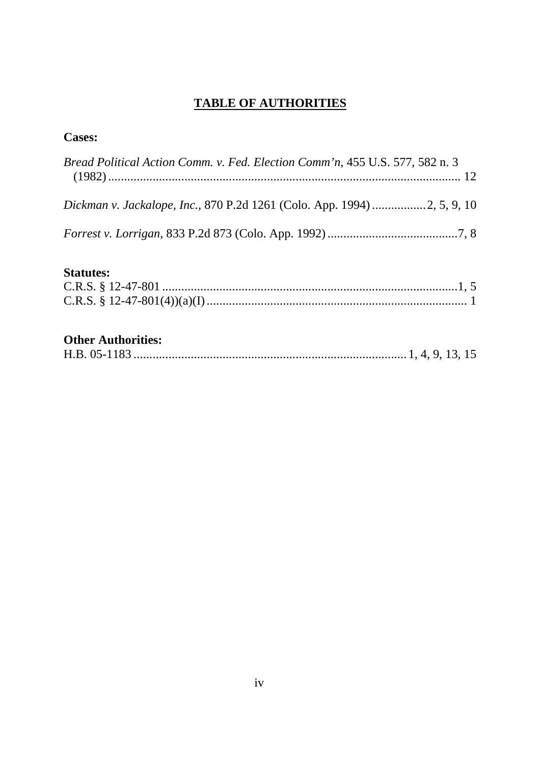# **TABLE OF AUTHORITIES**

# **Cases:**

| Bread Political Action Comm. v. Fed. Election Comm'n, 455 U.S. 577, 582 n. 3 |  |
|------------------------------------------------------------------------------|--|
|                                                                              |  |
|                                                                              |  |

# **Statutes:**

# **Other Authorities:**

|--|--|--|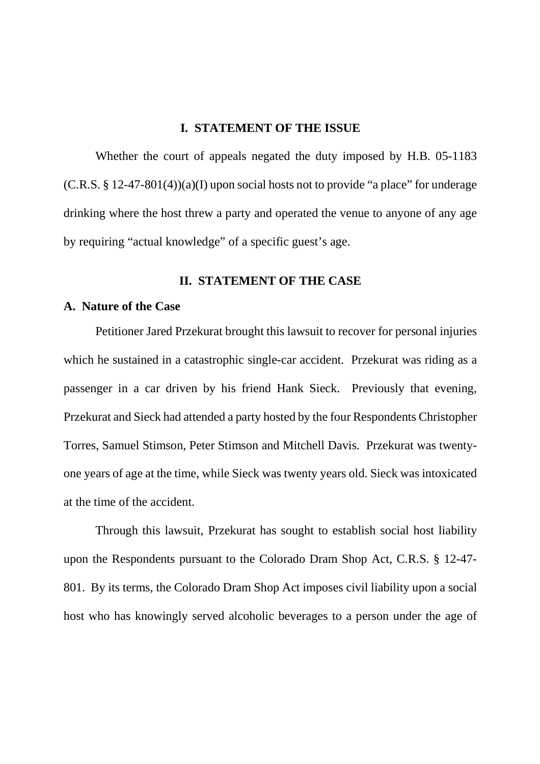# **I. STATEMENT OF THE ISSUE**

Whether the court of appeals negated the duty imposed by H.B. 05-1183  $(C.R.S. § 12-47-801(4))(a)(I)$  upon social hosts not to provide "a place" for underage drinking where the host threw a party and operated the venue to anyone of any age by requiring "actual knowledge" of a specific guest's age.

# **II. STATEMENT OF THE CASE**

# **A. Nature of the Case**

Petitioner Jared Przekurat brought this lawsuit to recover for personal injuries which he sustained in a catastrophic single-car accident. Przekurat was riding as a passenger in a car driven by his friend Hank Sieck. Previously that evening, Przekurat and Sieck had attended a party hosted by the four Respondents Christopher Torres, Samuel Stimson, Peter Stimson and Mitchell Davis. Przekurat was twentyone years of age at the time, while Sieck was twenty years old. Sieck was intoxicated at the time of the accident.

Through this lawsuit, Przekurat has sought to establish social host liability upon the Respondents pursuant to the Colorado Dram Shop Act, C.R.S. § 12-47- 801. By its terms, the Colorado Dram Shop Act imposes civil liability upon a social host who has knowingly served alcoholic beverages to a person under the age of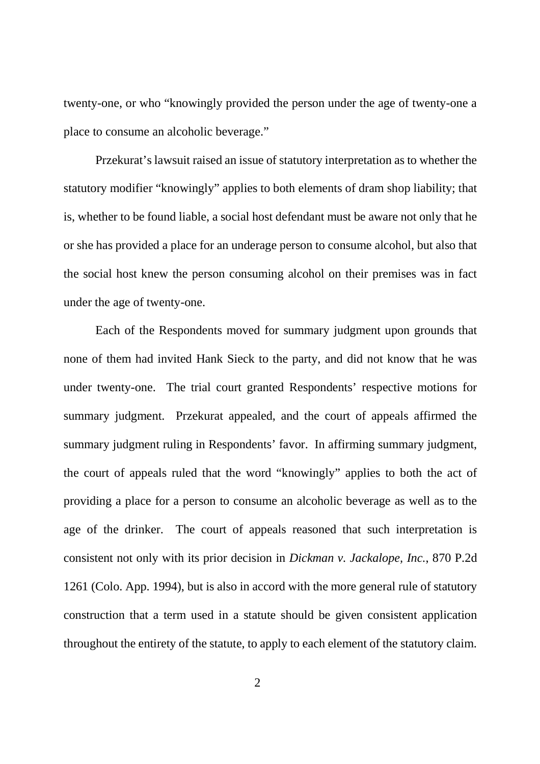twenty-one, or who "knowingly provided the person under the age of twenty-one a place to consume an alcoholic beverage."

Przekurat's lawsuit raised an issue of statutory interpretation as to whether the statutory modifier "knowingly" applies to both elements of dram shop liability; that is, whether to be found liable, a social host defendant must be aware not only that he or she has provided a place for an underage person to consume alcohol, but also that the social host knew the person consuming alcohol on their premises was in fact under the age of twenty-one.

Each of the Respondents moved for summary judgment upon grounds that none of them had invited Hank Sieck to the party, and did not know that he was under twenty-one. The trial court granted Respondents' respective motions for summary judgment. Przekurat appealed, and the court of appeals affirmed the summary judgment ruling in Respondents' favor. In affirming summary judgment, the court of appeals ruled that the word "knowingly" applies to both the act of providing a place for a person to consume an alcoholic beverage as well as to the age of the drinker. The court of appeals reasoned that such interpretation is consistent not only with its prior decision in *Dickman v. Jackalope, Inc.*, 870 P.2d 1261 (Colo. App. 1994), but is also in accord with the more general rule of statutory construction that a term used in a statute should be given consistent application throughout the entirety of the statute, to apply to each element of the statutory claim.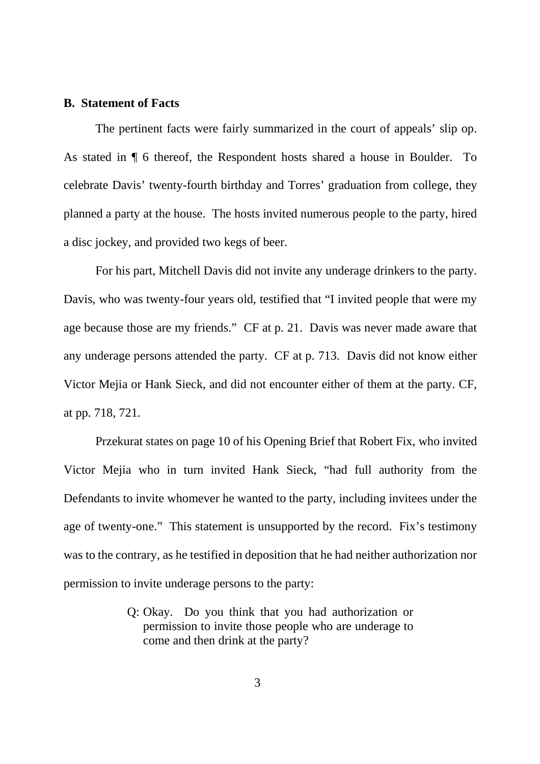#### **B. Statement of Facts**

The pertinent facts were fairly summarized in the court of appeals' slip op. As stated in ¶ 6 thereof, the Respondent hosts shared a house in Boulder. To celebrate Davis' twenty-fourth birthday and Torres' graduation from college, they planned a party at the house. The hosts invited numerous people to the party, hired a disc jockey, and provided two kegs of beer.

For his part, Mitchell Davis did not invite any underage drinkers to the party. Davis, who was twenty-four years old, testified that "I invited people that were my age because those are my friends." CF at p. 21. Davis was never made aware that any underage persons attended the party. CF at p. 713. Davis did not know either Victor Mejia or Hank Sieck, and did not encounter either of them at the party. CF, at pp. 718, 721.

Przekurat states on page 10 of his Opening Brief that Robert Fix, who invited Victor Mejia who in turn invited Hank Sieck, "had full authority from the Defendants to invite whomever he wanted to the party, including invitees under the age of twenty-one." This statement is unsupported by the record. Fix's testimony was to the contrary, as he testified in deposition that he had neither authorization nor permission to invite underage persons to the party:

> Q: Okay. Do you think that you had authorization or permission to invite those people who are underage to come and then drink at the party?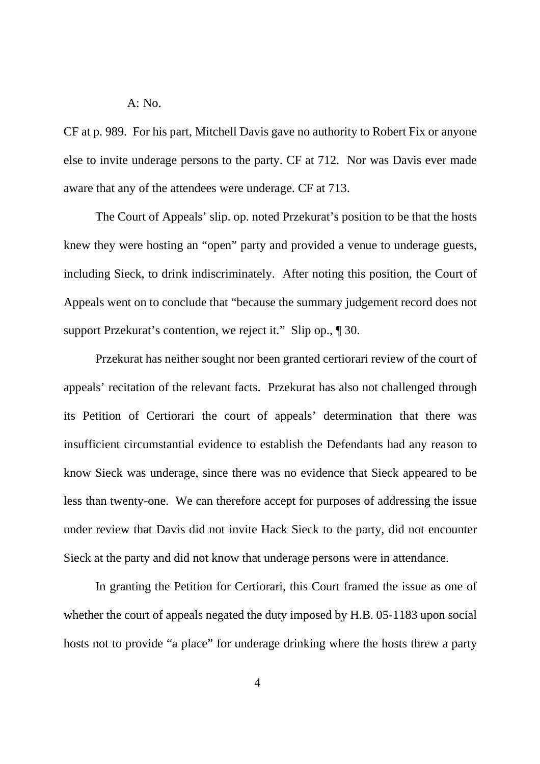A: No.

CF at p. 989. For his part, Mitchell Davis gave no authority to Robert Fix or anyone else to invite underage persons to the party. CF at 712. Nor was Davis ever made aware that any of the attendees were underage. CF at 713.

The Court of Appeals' slip. op. noted Przekurat's position to be that the hosts knew they were hosting an "open" party and provided a venue to underage guests, including Sieck, to drink indiscriminately. After noting this position, the Court of Appeals went on to conclude that "because the summary judgement record does not support Przekurat's contention, we reject it." Slip op.,  $\llbracket 30$ .

Przekurat has neither sought nor been granted certiorari review of the court of appeals' recitation of the relevant facts. Przekurat has also not challenged through its Petition of Certiorari the court of appeals' determination that there was insufficient circumstantial evidence to establish the Defendants had any reason to know Sieck was underage, since there was no evidence that Sieck appeared to be less than twenty-one. We can therefore accept for purposes of addressing the issue under review that Davis did not invite Hack Sieck to the party, did not encounter Sieck at the party and did not know that underage persons were in attendance.

In granting the Petition for Certiorari, this Court framed the issue as one of whether the court of appeals negated the duty imposed by H.B. 05-1183 upon social hosts not to provide "a place" for underage drinking where the hosts threw a party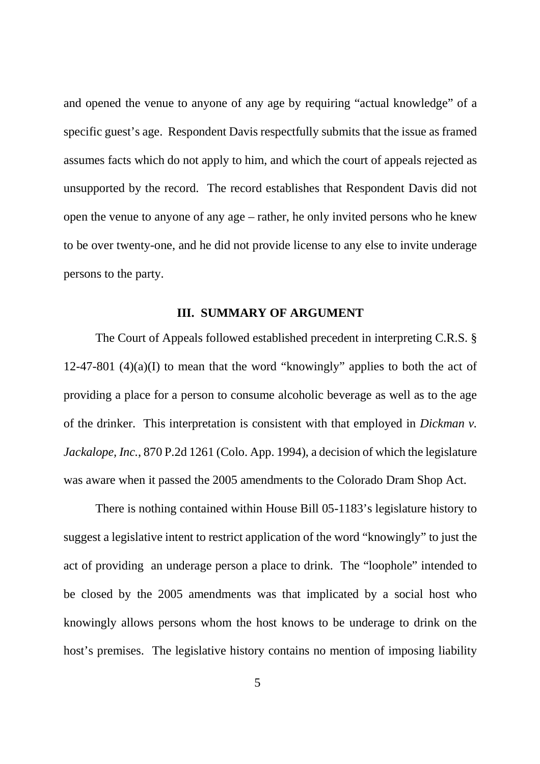and opened the venue to anyone of any age by requiring "actual knowledge" of a specific guest's age. Respondent Davis respectfully submits that the issue as framed assumes facts which do not apply to him, and which the court of appeals rejected as unsupported by the record. The record establishes that Respondent Davis did not open the venue to anyone of any age – rather, he only invited persons who he knew to be over twenty-one, and he did not provide license to any else to invite underage persons to the party.

# **III. SUMMARY OF ARGUMENT**

The Court of Appeals followed established precedent in interpreting C.R.S. § 12-47-801 (4)(a)(I) to mean that the word "knowingly" applies to both the act of providing a place for a person to consume alcoholic beverage as well as to the age of the drinker. This interpretation is consistent with that employed in *Dickman v. Jackalope, Inc.*, 870 P.2d 1261 (Colo. App. 1994), a decision of which the legislature was aware when it passed the 2005 amendments to the Colorado Dram Shop Act.

There is nothing contained within House Bill 05-1183's legislature history to suggest a legislative intent to restrict application of the word "knowingly" to just the act of providing an underage person a place to drink. The "loophole" intended to be closed by the 2005 amendments was that implicated by a social host who knowingly allows persons whom the host knows to be underage to drink on the host's premises. The legislative history contains no mention of imposing liability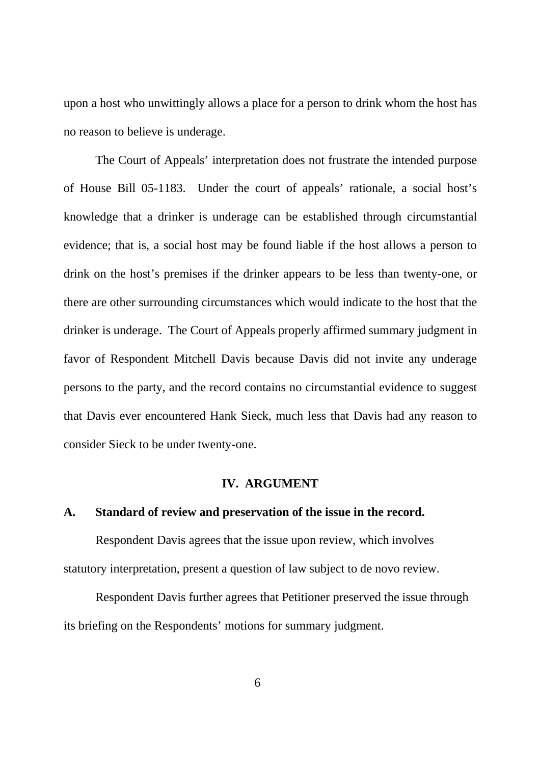upon a host who unwittingly allows a place for a person to drink whom the host has no reason to believe is underage.

The Court of Appeals' interpretation does not frustrate the intended purpose of House Bill 05-1183. Under the court of appeals' rationale, a social host's knowledge that a drinker is underage can be established through circumstantial evidence; that is, a social host may be found liable if the host allows a person to drink on the host's premises if the drinker appears to be less than twenty-one, or there are other surrounding circumstances which would indicate to the host that the drinker is underage. The Court of Appeals properly affirmed summary judgment in favor of Respondent Mitchell Davis because Davis did not invite any underage persons to the party, and the record contains no circumstantial evidence to suggest that Davis ever encountered Hank Sieck, much less that Davis had any reason to consider Sieck to be under twenty-one.

### **IV. ARGUMENT**

## **A. Standard of review and preservation of the issue in the record.**

Respondent Davis agrees that the issue upon review, which involves statutory interpretation, present a question of law subject to de novo review.

Respondent Davis further agrees that Petitioner preserved the issue through its briefing on the Respondents' motions for summary judgment.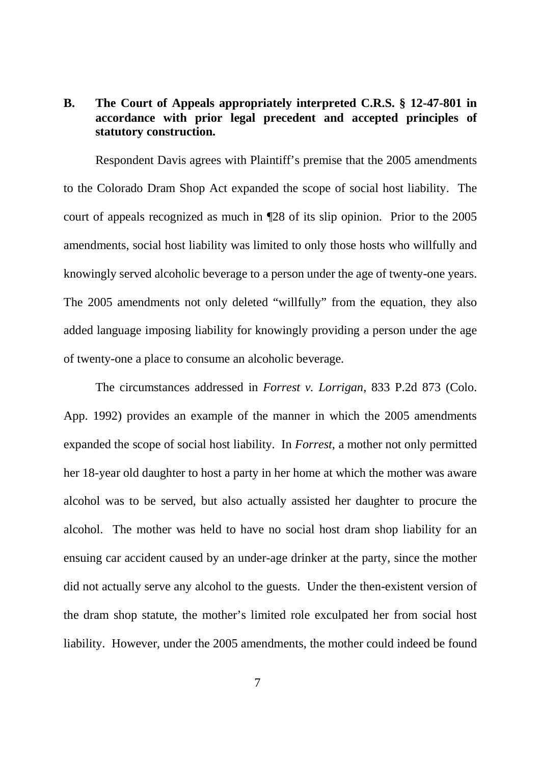# **B. The Court of Appeals appropriately interpreted C.R.S. § 12-47-801 in accordance with prior legal precedent and accepted principles of statutory construction.**

Respondent Davis agrees with Plaintiff's premise that the 2005 amendments to the Colorado Dram Shop Act expanded the scope of social host liability. The court of appeals recognized as much in ¶28 of its slip opinion. Prior to the 2005 amendments, social host liability was limited to only those hosts who willfully and knowingly served alcoholic beverage to a person under the age of twenty-one years. The 2005 amendments not only deleted "willfully" from the equation, they also added language imposing liability for knowingly providing a person under the age of twenty-one a place to consume an alcoholic beverage.

The circumstances addressed in *Forrest v. Lorrigan*, 833 P.2d 873 (Colo. App. 1992) provides an example of the manner in which the 2005 amendments expanded the scope of social host liability. In *Forrest*, a mother not only permitted her 18-year old daughter to host a party in her home at which the mother was aware alcohol was to be served, but also actually assisted her daughter to procure the alcohol. The mother was held to have no social host dram shop liability for an ensuing car accident caused by an under-age drinker at the party, since the mother did not actually serve any alcohol to the guests. Under the then-existent version of the dram shop statute, the mother's limited role exculpated her from social host liability. However, under the 2005 amendments, the mother could indeed be found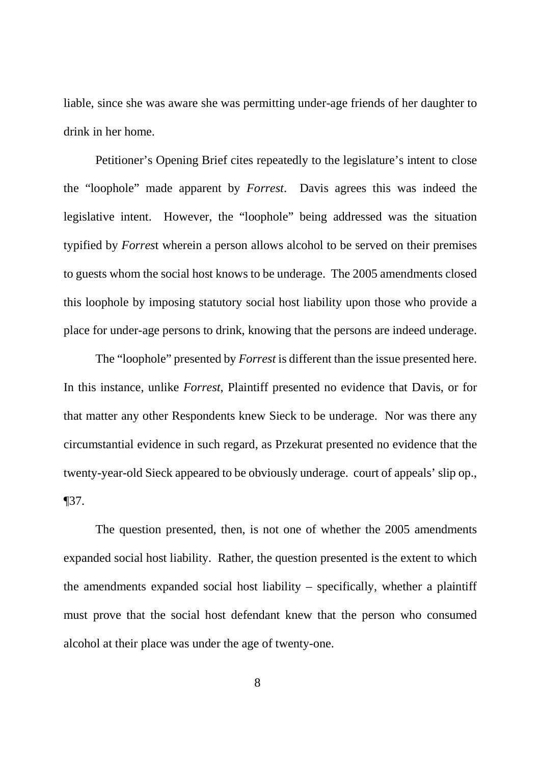liable, since she was aware she was permitting under-age friends of her daughter to drink in her home.

Petitioner's Opening Brief cites repeatedly to the legislature's intent to close the "loophole" made apparent by *Forrest*. Davis agrees this was indeed the legislative intent. However, the "loophole" being addressed was the situation typified by *Forres*t wherein a person allows alcohol to be served on their premises to guests whom the social host knows to be underage. The 2005 amendments closed this loophole by imposing statutory social host liability upon those who provide a place for under-age persons to drink, knowing that the persons are indeed underage.

The "loophole" presented by *Forrest* is different than the issue presented here. In this instance, unlike *Forrest*, Plaintiff presented no evidence that Davis, or for that matter any other Respondents knew Sieck to be underage. Nor was there any circumstantial evidence in such regard, as Przekurat presented no evidence that the twenty-year-old Sieck appeared to be obviously underage. court of appeals' slip op., ¶37.

The question presented, then, is not one of whether the 2005 amendments expanded social host liability. Rather, the question presented is the extent to which the amendments expanded social host liability – specifically, whether a plaintiff must prove that the social host defendant knew that the person who consumed alcohol at their place was under the age of twenty-one.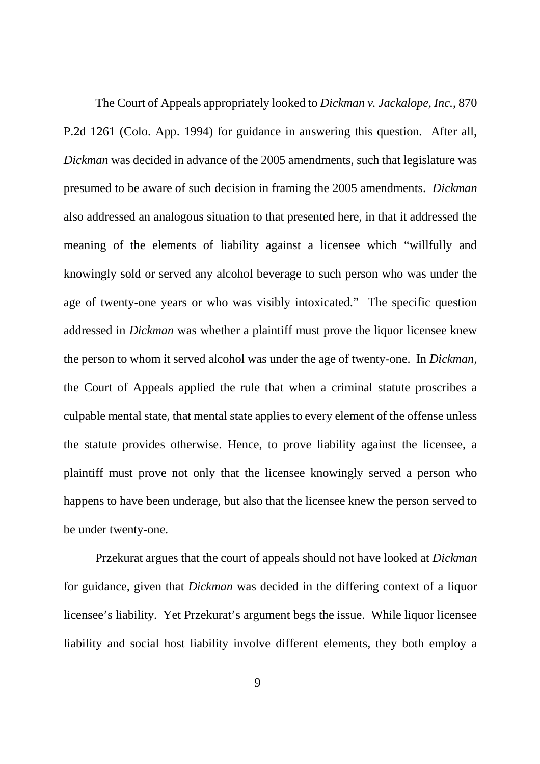The Court of Appeals appropriately looked to *Dickman v. Jackalope, Inc.*, 870 P.2d 1261 (Colo. App. 1994) for guidance in answering this question. After all, *Dickman* was decided in advance of the 2005 amendments, such that legislature was presumed to be aware of such decision in framing the 2005 amendments. *Dickman* also addressed an analogous situation to that presented here, in that it addressed the meaning of the elements of liability against a licensee which "willfully and knowingly sold or served any alcohol beverage to such person who was under the age of twenty-one years or who was visibly intoxicated." The specific question addressed in *Dickman* was whether a plaintiff must prove the liquor licensee knew the person to whom it served alcohol was under the age of twenty-one. In *Dickman*, the Court of Appeals applied the rule that when a criminal statute proscribes a culpable mental state, that mental state applies to every element of the offense unless the statute provides otherwise. Hence, to prove liability against the licensee, a plaintiff must prove not only that the licensee knowingly served a person who happens to have been underage, but also that the licensee knew the person served to be under twenty-one.

Przekurat argues that the court of appeals should not have looked at *Dickman* for guidance, given that *Dickman* was decided in the differing context of a liquor licensee's liability. Yet Przekurat's argument begs the issue. While liquor licensee liability and social host liability involve different elements, they both employ a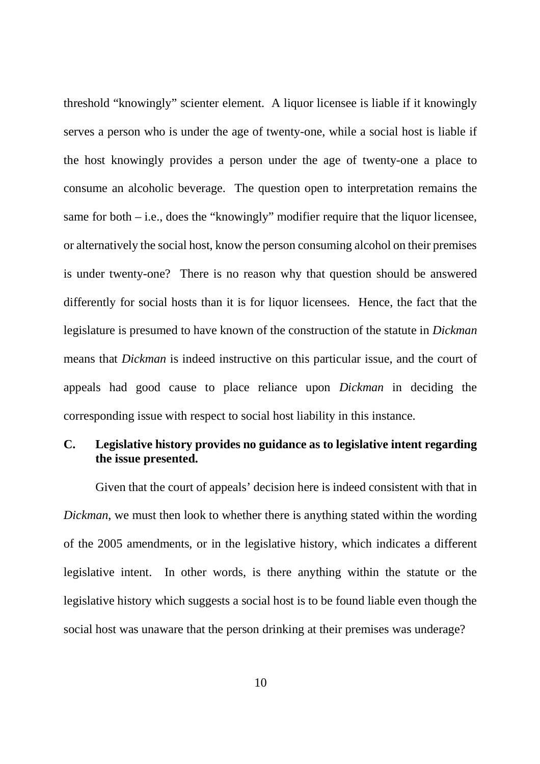threshold "knowingly" scienter element. A liquor licensee is liable if it knowingly serves a person who is under the age of twenty-one, while a social host is liable if the host knowingly provides a person under the age of twenty-one a place to consume an alcoholic beverage. The question open to interpretation remains the same for both – i.e., does the "knowingly" modifier require that the liquor licensee, or alternatively the social host, know the person consuming alcohol on their premises is under twenty-one? There is no reason why that question should be answered differently for social hosts than it is for liquor licensees. Hence, the fact that the legislature is presumed to have known of the construction of the statute in *Dickman* means that *Dickman* is indeed instructive on this particular issue, and the court of appeals had good cause to place reliance upon *Dickman* in deciding the corresponding issue with respect to social host liability in this instance.

# **C. Legislative history provides no guidance as to legislative intent regarding the issue presented.**

Given that the court of appeals' decision here is indeed consistent with that in *Dickman*, we must then look to whether there is anything stated within the wording of the 2005 amendments, or in the legislative history, which indicates a different legislative intent. In other words, is there anything within the statute or the legislative history which suggests a social host is to be found liable even though the social host was unaware that the person drinking at their premises was underage?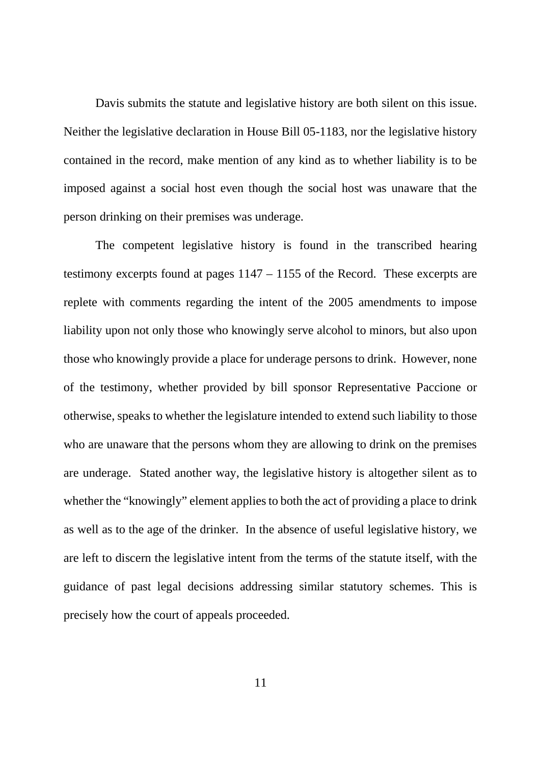Davis submits the statute and legislative history are both silent on this issue. Neither the legislative declaration in House Bill 05-1183, nor the legislative history contained in the record, make mention of any kind as to whether liability is to be imposed against a social host even though the social host was unaware that the person drinking on their premises was underage.

The competent legislative history is found in the transcribed hearing testimony excerpts found at pages 1147 – 1155 of the Record. These excerpts are replete with comments regarding the intent of the 2005 amendments to impose liability upon not only those who knowingly serve alcohol to minors, but also upon those who knowingly provide a place for underage persons to drink. However, none of the testimony, whether provided by bill sponsor Representative Paccione or otherwise, speaks to whether the legislature intended to extend such liability to those who are unaware that the persons whom they are allowing to drink on the premises are underage. Stated another way, the legislative history is altogether silent as to whether the "knowingly" element applies to both the act of providing a place to drink as well as to the age of the drinker. In the absence of useful legislative history, we are left to discern the legislative intent from the terms of the statute itself, with the guidance of past legal decisions addressing similar statutory schemes. This is precisely how the court of appeals proceeded.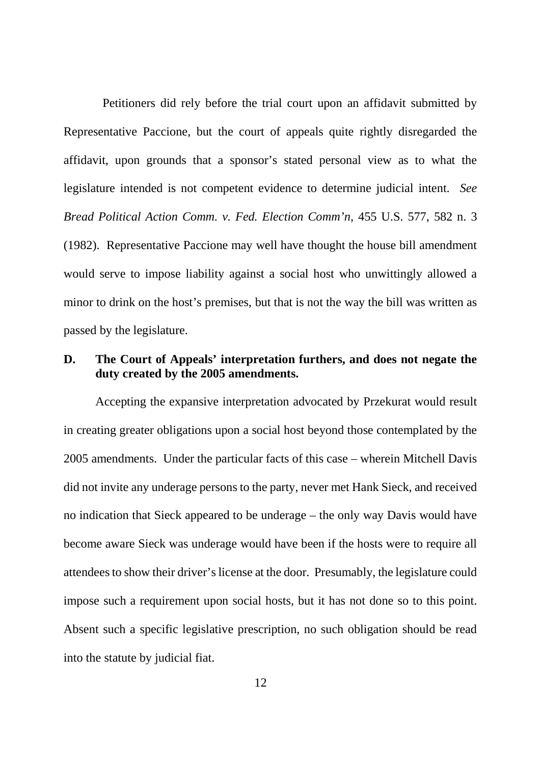Petitioners did rely before the trial court upon an affidavit submitted by Representative Paccione, but the court of appeals quite rightly disregarded the affidavit, upon grounds that a sponsor's stated personal view as to what the legislature intended is not competent evidence to determine judicial intent. *See Bread Political Action Comm. v. Fed. Election Comm'n*, 455 U.S. 577, 582 n. 3 (1982). Representative Paccione may well have thought the house bill amendment would serve to impose liability against a social host who unwittingly allowed a minor to drink on the host's premises, but that is not the way the bill was written as passed by the legislature.

# **D. The Court of Appeals' interpretation furthers, and does not negate the duty created by the 2005 amendments.**

Accepting the expansive interpretation advocated by Przekurat would result in creating greater obligations upon a social host beyond those contemplated by the 2005 amendments. Under the particular facts of this case – wherein Mitchell Davis did not invite any underage persons to the party, never met Hank Sieck, and received no indication that Sieck appeared to be underage – the only way Davis would have become aware Sieck was underage would have been if the hosts were to require all attendees to show their driver's license at the door. Presumably, the legislature could impose such a requirement upon social hosts, but it has not done so to this point. Absent such a specific legislative prescription, no such obligation should be read into the statute by judicial fiat.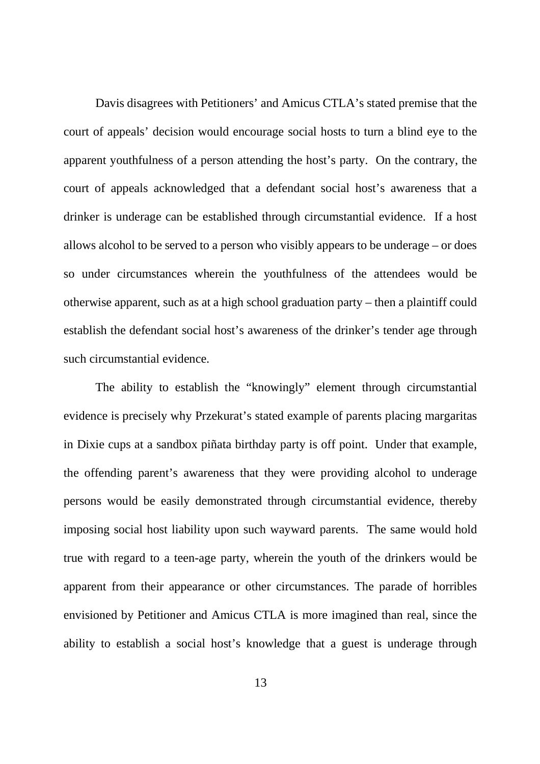Davis disagrees with Petitioners' and Amicus CTLA's stated premise that the court of appeals' decision would encourage social hosts to turn a blind eye to the apparent youthfulness of a person attending the host's party. On the contrary, the court of appeals acknowledged that a defendant social host's awareness that a drinker is underage can be established through circumstantial evidence. If a host allows alcohol to be served to a person who visibly appears to be underage – or does so under circumstances wherein the youthfulness of the attendees would be otherwise apparent, such as at a high school graduation party – then a plaintiff could establish the defendant social host's awareness of the drinker's tender age through such circumstantial evidence.

The ability to establish the "knowingly" element through circumstantial evidence is precisely why Przekurat's stated example of parents placing margaritas in Dixie cups at a sandbox piñata birthday party is off point. Under that example, the offending parent's awareness that they were providing alcohol to underage persons would be easily demonstrated through circumstantial evidence, thereby imposing social host liability upon such wayward parents. The same would hold true with regard to a teen-age party, wherein the youth of the drinkers would be apparent from their appearance or other circumstances. The parade of horribles envisioned by Petitioner and Amicus CTLA is more imagined than real, since the ability to establish a social host's knowledge that a guest is underage through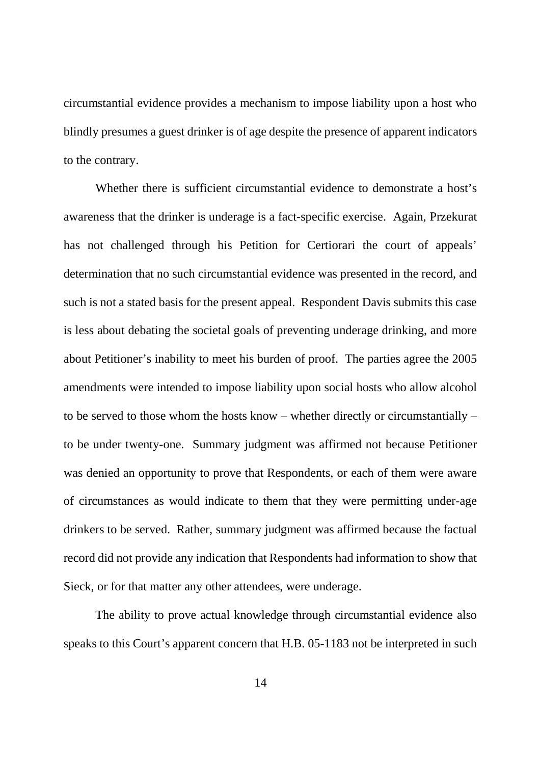circumstantial evidence provides a mechanism to impose liability upon a host who blindly presumes a guest drinker is of age despite the presence of apparent indicators to the contrary.

Whether there is sufficient circumstantial evidence to demonstrate a host's awareness that the drinker is underage is a fact-specific exercise. Again, Przekurat has not challenged through his Petition for Certiorari the court of appeals' determination that no such circumstantial evidence was presented in the record, and such is not a stated basis for the present appeal. Respondent Davis submits this case is less about debating the societal goals of preventing underage drinking, and more about Petitioner's inability to meet his burden of proof. The parties agree the 2005 amendments were intended to impose liability upon social hosts who allow alcohol to be served to those whom the hosts know – whether directly or circumstantially – to be under twenty-one. Summary judgment was affirmed not because Petitioner was denied an opportunity to prove that Respondents, or each of them were aware of circumstances as would indicate to them that they were permitting under-age drinkers to be served. Rather, summary judgment was affirmed because the factual record did not provide any indication that Respondents had information to show that Sieck, or for that matter any other attendees, were underage.

The ability to prove actual knowledge through circumstantial evidence also speaks to this Court's apparent concern that H.B. 05-1183 not be interpreted in such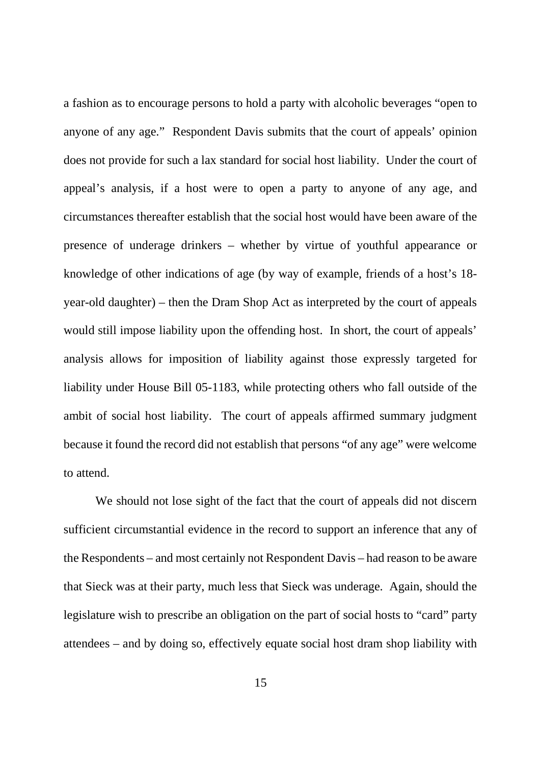a fashion as to encourage persons to hold a party with alcoholic beverages "open to anyone of any age." Respondent Davis submits that the court of appeals' opinion does not provide for such a lax standard for social host liability. Under the court of appeal's analysis, if a host were to open a party to anyone of any age, and circumstances thereafter establish that the social host would have been aware of the presence of underage drinkers – whether by virtue of youthful appearance or knowledge of other indications of age (by way of example, friends of a host's 18 year-old daughter) – then the Dram Shop Act as interpreted by the court of appeals would still impose liability upon the offending host. In short, the court of appeals' analysis allows for imposition of liability against those expressly targeted for liability under House Bill 05-1183, while protecting others who fall outside of the ambit of social host liability. The court of appeals affirmed summary judgment because it found the record did not establish that persons "of any age" were welcome to attend.

We should not lose sight of the fact that the court of appeals did not discern sufficient circumstantial evidence in the record to support an inference that any of the Respondents – and most certainly not Respondent Davis – had reason to be aware that Sieck was at their party, much less that Sieck was underage. Again, should the legislature wish to prescribe an obligation on the part of social hosts to "card" party attendees – and by doing so, effectively equate social host dram shop liability with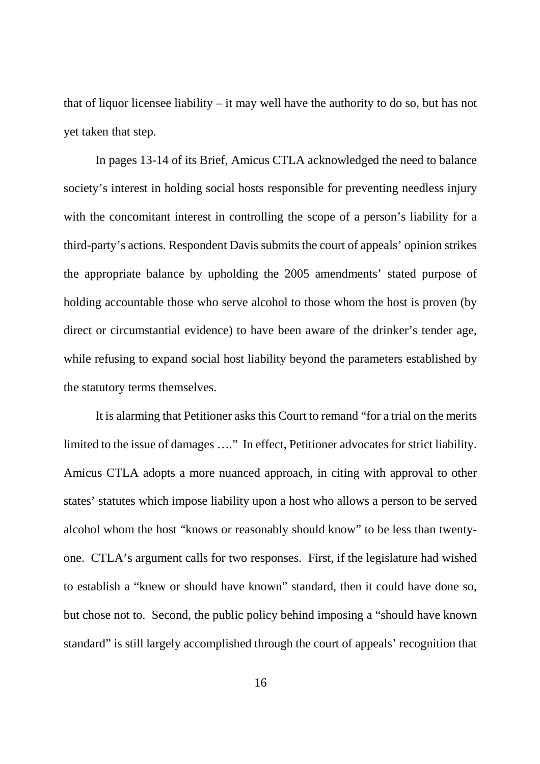that of liquor licensee liability – it may well have the authority to do so, but has not yet taken that step.

In pages 13-14 of its Brief, Amicus CTLA acknowledged the need to balance society's interest in holding social hosts responsible for preventing needless injury with the concomitant interest in controlling the scope of a person's liability for a third-party's actions. Respondent Davis submits the court of appeals' opinion strikes the appropriate balance by upholding the 2005 amendments' stated purpose of holding accountable those who serve alcohol to those whom the host is proven (by direct or circumstantial evidence) to have been aware of the drinker's tender age, while refusing to expand social host liability beyond the parameters established by the statutory terms themselves.

It is alarming that Petitioner asks this Court to remand "for a trial on the merits limited to the issue of damages …." In effect, Petitioner advocates for strict liability. Amicus CTLA adopts a more nuanced approach, in citing with approval to other states' statutes which impose liability upon a host who allows a person to be served alcohol whom the host "knows or reasonably should know" to be less than twentyone. CTLA's argument calls for two responses. First, if the legislature had wished to establish a "knew or should have known" standard, then it could have done so, but chose not to. Second, the public policy behind imposing a "should have known standard" is still largely accomplished through the court of appeals' recognition that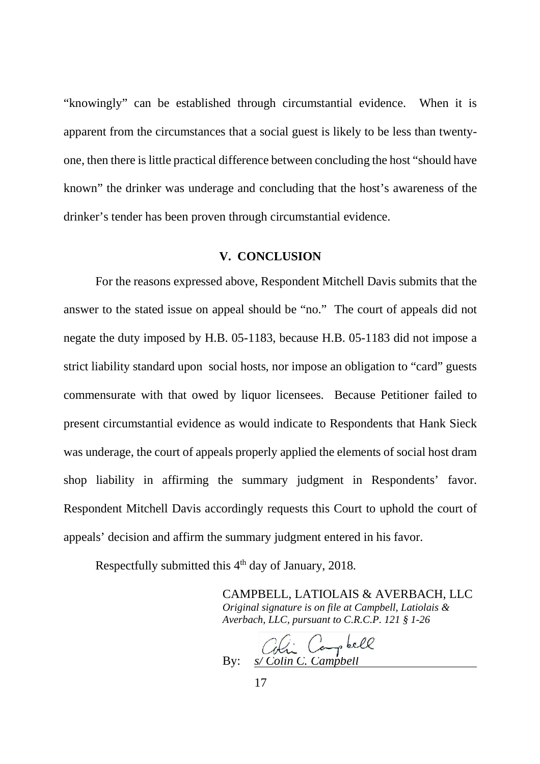"knowingly" can be established through circumstantial evidence. When it is apparent from the circumstances that a social guest is likely to be less than twentyone, then there is little practical difference between concluding the host "should have known" the drinker was underage and concluding that the host's awareness of the drinker's tender has been proven through circumstantial evidence.

### **V. CONCLUSION**

For the reasons expressed above, Respondent Mitchell Davis submits that the answer to the stated issue on appeal should be "no." The court of appeals did not negate the duty imposed by H.B. 05-1183, because H.B. 05-1183 did not impose a strict liability standard upon social hosts, nor impose an obligation to "card" guests commensurate with that owed by liquor licensees. Because Petitioner failed to present circumstantial evidence as would indicate to Respondents that Hank Sieck was underage, the court of appeals properly applied the elements of social host dram shop liability in affirming the summary judgment in Respondents' favor. Respondent Mitchell Davis accordingly requests this Court to uphold the court of appeals' decision and affirm the summary judgment entered in his favor.

Respectfully submitted this 4<sup>th</sup> day of January, 2018.

CAMPBELL, LATIOLAIS & AVERBACH, LLC *Original signature is on file at Campbell, Latiolais & Averbach, LLC, pursuant to C.R.C.P. 121 § 1-26*

By: *s/ Colin C. Campbell*